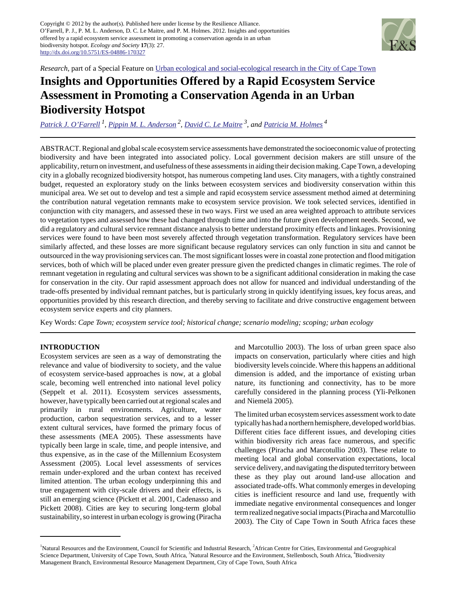

*Research*, part of a Special Feature on [Urban ecological and social-ecological research in the City of Cape Town](http://www.ecologyandsociety.org/viewissue.php?sf=64)

# **Insights and Opportunities Offered by a Rapid Ecosystem Service Assessment in Promoting a Conservation Agenda in an Urban Biodiversity Hotspot**

*[Patrick J. O'Farrell](mailto:POFarrell@csir.co.za)<sup>1</sup> , [Pippin M. L. Anderson](mailto:pippin.anderson@uct.ac.za)<sup>2</sup> , [David C. Le Maitre](mailto:DlMaitre@csir.co.za) 3, and [Patricia M. Holmes](mailto:patricia.holmes@capetown.gov.za)<sup>4</sup>*

ABSTRACT. Regional and global scale ecosystem service assessments have demonstrated the socioeconomic value of protecting biodiversity and have been integrated into associated policy. Local government decision makers are still unsure of the applicability, return on investment, and usefulness of these assessments in aiding their decision making. Cape Town, a developing city in a globally recognized biodiversity hotspot, has numerous competing land uses. City managers, with a tightly constrained budget, requested an exploratory study on the links between ecosystem services and biodiversity conservation within this municipal area. We set out to develop and test a simple and rapid ecosystem service assessment method aimed at determining the contribution natural vegetation remnants make to ecosystem service provision. We took selected services, identified in conjunction with city managers, and assessed these in two ways. First we used an area weighted approach to attribute services to vegetation types and assessed how these had changed through time and into the future given development needs. Second, we did a regulatory and cultural service remnant distance analysis to better understand proximity effects and linkages. Provisioning services were found to have been most severely affected through vegetation transformation. Regulatory services have been similarly affected, and these losses are more significant because regulatory services can only function in situ and cannot be outsourced in the way provisioning services can. The most significant losses were in coastal zone protection and flood mitigation services, both of which will be placed under even greater pressure given the predicted changes in climatic regimes. The role of remnant vegetation in regulating and cultural services was shown to be a significant additional consideration in making the case for conservation in the city. Our rapid assessment approach does not allow for nuanced and individual understanding of the trade-offs presented by individual remnant patches, but is particularly strong in quickly identifying issues, key focus areas, and opportunities provided by this research direction, and thereby serving to facilitate and drive constructive engagement between ecosystem service experts and city planners.

Key Words: *Cape Town; ecosystem service tool; historical change; scenario modeling; scoping; urban ecology*

# **INTRODUCTION**

Ecosystem services are seen as a way of demonstrating the relevance and value of biodiversity to society, and the value of ecosystem service-based approaches is now, at a global scale, becoming well entrenched into national level policy (Seppelt et al. 2011). Ecosystem services assessments, however, have typically been carried out at regional scales and primarily in rural environments. Agriculture, water production, carbon sequestration services, and to a lesser extent cultural services, have formed the primary focus of these assessments (MEA 2005). These assessments have typically been large in scale, time, and people intensive, and thus expensive, as in the case of the Millennium Ecosystem Assessment (2005). Local level assessments of services remain under-explored and the urban context has received limited attention. The urban ecology underpinning this and true engagement with city-scale drivers and their effects, is still an emerging science (Pickett et al. 2001, Cadenasso and Pickett 2008). Cities are key to securing long-term global sustainability, so interest in urban ecology is growing (Piracha

and Marcotullio 2003). The loss of urban green space also impacts on conservation, particularly where cities and high biodiversity levels coincide. Where this happens an additional dimension is added, and the importance of existing urban nature, its functioning and connectivity, has to be more carefully considered in the planning process (Yli-Pelkonen and Niemelä 2005).

The limited urban ecosystem services assessment work to date typically has had a northern hemisphere, developed world bias. Different cities face different issues, and developing cities within biodiversity rich areas face numerous, and specific challenges (Piracha and Marcotullio 2003). These relate to meeting local and global conservation expectations, local service delivery, and navigating the disputed territory between these as they play out around land-use allocation and associated trade-offs. What commonly emerges in developing cities is inefficient resource and land use, frequently with immediate negative environmental consequences and longer term realized negative social impacts (Piracha and Marcotullio 2003). The City of Cape Town in South Africa faces these

<sup>&</sup>lt;sup>1</sup>Natural Resources and the Environment, Council for Scientific and Industrial Research, <sup>2</sup>African Centre for Cities, Environmental and Geographical Science Department, University of Cape Town, South Africa, <sup>3</sup>Natural Resource and the Environment, Stellenbosch, South Africa, <sup>4</sup>Biodiversity Management Branch, Environmental Resource Management Department, City of Cape Town, South Africa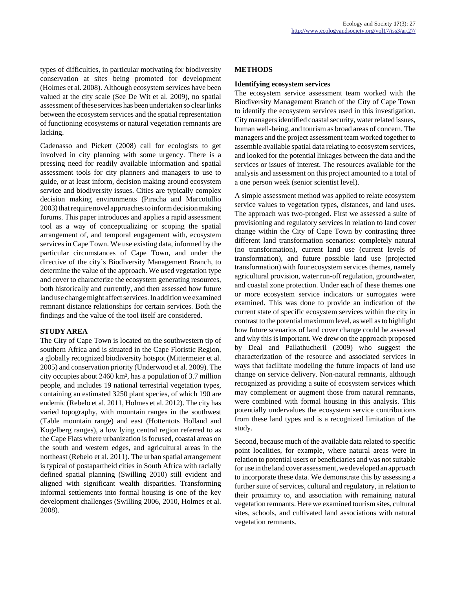types of difficulties, in particular motivating for biodiversity conservation at sites being promoted for development (Holmes et al. 2008). Although ecosystem services have been valued at the city scale (See De Wit et al. 2009), no spatial assessment of these services has been undertaken so clear links between the ecosystem services and the spatial representation of functioning ecosystems or natural vegetation remnants are lacking.

Cadenasso and Pickett (2008) call for ecologists to get involved in city planning with some urgency. There is a pressing need for readily available information and spatial assessment tools for city planners and managers to use to guide, or at least inform, decision making around ecosystem service and biodiversity issues. Cities are typically complex decision making environments (Piracha and Marcotullio 2003) that require novel approaches to inform decision making forums. This paper introduces and applies a rapid assessment tool as a way of conceptualizing or scoping the spatial arrangement of, and temporal engagement with, ecosystem services in Cape Town. We use existing data, informed by the particular circumstances of Cape Town, and under the directive of the city's Biodiversity Management Branch, to determine the value of the approach. We used vegetation type and cover to characterize the ecosystem generating resources, both historically and currently, and then assessed how future land use change might affect services. In addition we examined remnant distance relationships for certain services. Both the findings and the value of the tool itself are considered.

# **STUDY AREA**

The City of Cape Town is located on the southwestern tip of southern Africa and is situated in the Cape Floristic Region, a globally recognized biodiversity hotspot (Mittermeier et al. 2005) and conservation priority (Underwood et al. 2009). The city occupies about 2460 km², has a population of 3.7 million people, and includes 19 national terrestrial vegetation types, containing an estimated 3250 plant species, of which 190 are endemic (Rebelo et al. 2011, Holmes et al. 2012). The city has varied topography, with mountain ranges in the southwest (Table mountain range) and east (Hottentots Holland and Kogelberg ranges), a low lying central region referred to as the Cape Flats where urbanization is focused, coastal areas on the south and western edges, and agricultural areas in the northeast (Rebelo et al. 2011). The urban spatial arrangement is typical of postapartheid cities in South Africa with racially defined spatial planning (Swilling 2010) still evident and aligned with significant wealth disparities. Transforming informal settlements into formal housing is one of the key development challenges (Swilling 2006, 2010, Holmes et al. 2008).

# **METHODS**

# **Identifying ecosystem services**

The ecosystem service assessment team worked with the Biodiversity Management Branch of the City of Cape Town to identify the ecosystem services used in this investigation. City managers identified coastal security, water related issues, human well-being, and tourism as broad areas of concern. The managers and the project assessment team worked together to assemble available spatial data relating to ecosystem services, and looked for the potential linkages between the data and the services or issues of interest. The resources available for the analysis and assessment on this project amounted to a total of a one person week (senior scientist level).

A simple assessment method was applied to relate ecosystem service values to vegetation types, distances, and land uses. The approach was two-pronged. First we assessed a suite of provisioning and regulatory services in relation to land cover change within the City of Cape Town by contrasting three different land transformation scenarios: completely natural (no transformation), current land use (current levels of transformation), and future possible land use (projected transformation) with four ecosystem services themes, namely agricultural provision, water run-off regulation, groundwater, and coastal zone protection. Under each of these themes one or more ecosystem service indicators or surrogates were examined. This was done to provide an indication of the current state of specific ecosystem services within the city in contrast to the potential maximum level, as well as to highlight how future scenarios of land cover change could be assessed and why this is important. We drew on the approach proposed by Deal and Pallathucheril (2009) who suggest the characterization of the resource and associated services in ways that facilitate modeling the future impacts of land use change on service delivery. Non-natural remnants, although recognized as providing a suite of ecosystem services which may complement or augment those from natural remnants, were combined with formal housing in this analysis. This potentially undervalues the ecosystem service contributions from these land types and is a recognized limitation of the study.

Second, because much of the available data related to specific point localities, for example, where natural areas were in relation to potential users or beneficiaries and was not suitable for use in the land cover assessment, we developed an approach to incorporate these data. We demonstrate this by assessing a further suite of services, cultural and regulatory, in relation to their proximity to, and association with remaining natural vegetation remnants. Here we examined tourism sites, cultural sites, schools, and cultivated land associations with natural vegetation remnants.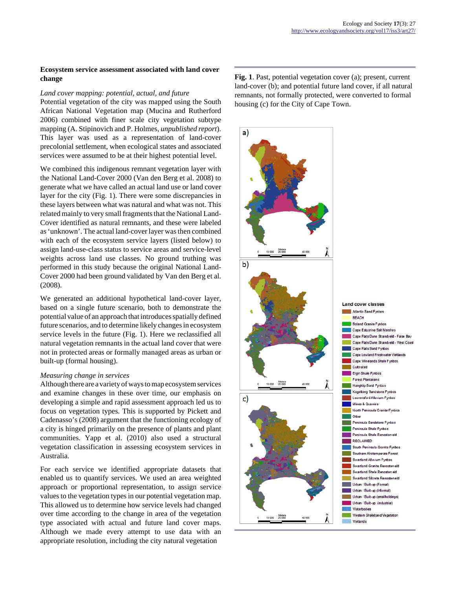## **Ecosystem service assessment associated with land cover change**

#### *Land cover mapping: potential, actual, and future*

Potential vegetation of the city was mapped using the South African National Vegetation map (Mucina and Rutherford 2006) combined with finer scale city vegetation subtype mapping (A. Stipinovich and P. Holmes, *unpublished report*). This layer was used as a representation of land-cover precolonial settlement, when ecological states and associated services were assumed to be at their highest potential level.

We combined this indigenous remnant vegetation layer with the National Land-Cover 2000 (Van den Berg et al. 2008) to generate what we have called an actual land use or land cover layer for the city (Fig. 1). There were some discrepancies in these layers between what was natural and what was not. This related mainly to very small fragments that the National Land-Cover identified as natural remnants, and these were labeled as 'unknown'. The actual land-cover layer was then combined with each of the ecosystem service layers (listed below) to assign land-use-class status to service areas and service-level weights across land use classes. No ground truthing was performed in this study because the original National Land-Cover 2000 had been ground validated by Van den Berg et al. (2008).

We generated an additional hypothetical land-cover layer, based on a single future scenario, both to demonstrate the potential value of an approach that introduces spatially defined future scenarios, and to determine likely changes in ecosystem service levels in the future (Fig. 1). Here we reclassified all natural vegetation remnants in the actual land cover that were not in protected areas or formally managed areas as urban or built-up (formal housing).

#### *Measuring change in services*

Although there are a variety of ways to map ecosystem services and examine changes in these over time, our emphasis on developing a simple and rapid assessment approach led us to focus on vegetation types. This is supported by Pickett and Cadenasso's (2008) argument that the functioning ecology of a city is hinged primarily on the presence of plants and plant communities. Yapp et al. (2010) also used a structural vegetation classification in assessing ecosystem services in Australia.

For each service we identified appropriate datasets that enabled us to quantify services. We used an area weighted approach or proportional representation, to assign service values to the vegetation types in our potential vegetation map. This allowed us to determine how service levels had changed over time according to the change in area of the vegetation type associated with actual and future land cover maps. Although we made every attempt to use data with an appropriate resolution, including the city natural vegetation

**Fig. 1**. Past, potential vegetation cover (a); present, current land-cover (b); and potential future land cover, if all natural remnants, not formally protected, were converted to formal housing (c) for the City of Cape Town.

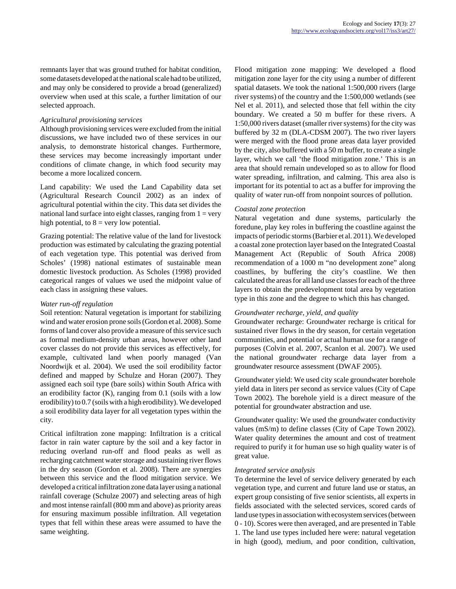remnants layer that was ground truthed for habitat condition, some datasets developed at the national scale had to be utilized, and may only be considered to provide a broad (generalized) overview when used at this scale, a further limitation of our selected approach.

## *Agricultural provisioning services*

Although provisioning services were excluded from the initial discussions, we have included two of these services in our analysis, to demonstrate historical changes. Furthermore, these services may become increasingly important under conditions of climate change, in which food security may become a more localized concern.

Land capability: We used the Land Capability data set (Agricultural Research Council 2002) as an index of agricultural potential within the city. This data set divides the national land surface into eight classes, ranging from  $1 = \text{very}$ high potential, to  $8 =$  very low potential.

Grazing potential: The relative value of the land for livestock production was estimated by calculating the grazing potential of each vegetation type. This potential was derived from Scholes' (1998) national estimates of sustainable mean domestic livestock production. As Scholes (1998) provided categorical ranges of values we used the midpoint value of each class in assigning these values.

# *Water run-off regulation*

Soil retention: Natural vegetation is important for stabilizing wind and water erosion prone soils (Gordon et al. 2008). Some forms of land cover also provide a measure of this service such as formal medium-density urban areas, however other land cover classes do not provide this services as effectively, for example, cultivated land when poorly managed (Van Noordwijk et al. 2004). We used the soil erodibility factor defined and mapped by Schulze and Horan (2007). They assigned each soil type (bare soils) within South Africa with an erodibility factor (K), ranging from 0.1 (soils with a low erodibility) to 0.7 (soils with a high erodibility). We developed a soil erodibility data layer for all vegetation types within the city.

Critical infiltration zone mapping: Infiltration is a critical factor in rain water capture by the soil and a key factor in reducing overland run-off and flood peaks as well as recharging catchment water storage and sustaining river flows in the dry season (Gordon et al. 2008). There are synergies between this service and the flood mitigation service. We developed a critical infiltration zone data layer using a national rainfall coverage (Schulze 2007) and selecting areas of high and most intense rainfall (800 mm and above) as priority areas for ensuring maximum possible infiltration. All vegetation types that fell within these areas were assumed to have the same weighting.

Flood mitigation zone mapping: We developed a flood mitigation zone layer for the city using a number of different spatial datasets. We took the national 1:500,000 rivers (large river systems) of the country and the 1:500,000 wetlands (see Nel et al. 2011), and selected those that fell within the city boundary. We created a 50 m buffer for these rivers. A 1:50,000 rivers dataset (smaller river systems) for the city was buffered by 32 m (DLA-CDSM 2007). The two river layers were merged with the flood prone areas data layer provided by the city, also buffered with a 50 m buffer, to create a single layer, which we call 'the flood mitigation zone.' This is an area that should remain undeveloped so as to allow for flood water spreading, infiltration, and calming. This area also is important for its potential to act as a buffer for improving the quality of water run-off from nonpoint sources of pollution.

# *Coastal zone protection*

Natural vegetation and dune systems, particularly the foredune, play key roles in buffering the coastline against the impacts of periodic storms (Barbier et al. 2011). We developed a coastal zone protection layer based on the Integrated Coastal Management Act (Republic of South Africa 2008) recommendation of a 1000 m "no development zone" along coastlines, by buffering the city's coastline. We then calculated the areas for all land use classes for each of the three layers to obtain the predevelopment total area by vegetation type in this zone and the degree to which this has changed.

## *Groundwater recharge, yield, and quality*

Groundwater recharge: Groundwater recharge is critical for sustained river flows in the dry season, for certain vegetation communities, and potential or actual human use for a range of purposes (Colvin et al. 2007, Scanlon et al. 2007). We used the national groundwater recharge data layer from a groundwater resource assessment (DWAF 2005).

Groundwater yield: We used city scale groundwater borehole yield data in liters per second as service values (City of Cape Town 2002). The borehole yield is a direct measure of the potential for groundwater abstraction and use.

Groundwater quality: We used the groundwater conductivity values (mS/m) to define classes (City of Cape Town 2002). Water quality determines the amount and cost of treatment required to purify it for human use so high quality water is of great value.

## *Integrated service analysis*

To determine the level of service delivery generated by each vegetation type, and current and future land use or status, an expert group consisting of five senior scientists, all experts in fields associated with the selected services, scored cards of land use types in association with ecosystem services (between 0 - 10). Scores were then averaged, and are presented in Table 1. The land use types included here were: natural vegetation in high (good), medium, and poor condition, cultivation,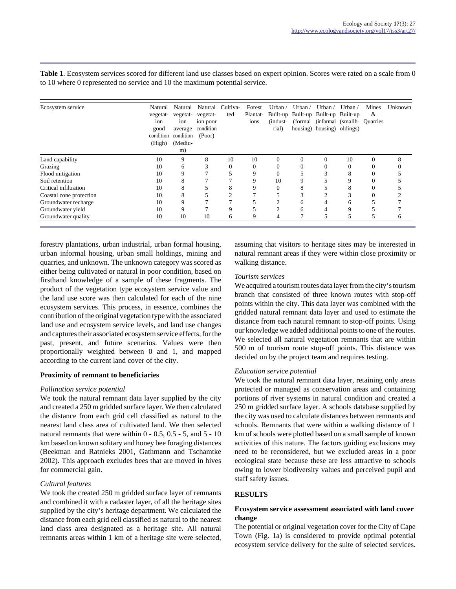| Ecosystem service       | Natural<br>vegetat-<br>ion<br>good<br>condition<br>(High) | Natural<br>vegetat-<br>ion<br>average<br>condition<br>(Mediu-<br>m) | vegetat-<br>ion poor<br>condition<br>(Poor) | Natural Cultiva-<br>ted | Forest<br>Plantat-<br>ions | Urban $\overline{ }$<br>(indust-<br>rial) | Urban $/$<br>(formal) | Urban $/$<br>Built-up Built-up Built-up Built-up<br>housing) housing) oldings) | Urban $\prime$<br>(informal (smallh- Quarries) | Mines<br>& | Unknown |
|-------------------------|-----------------------------------------------------------|---------------------------------------------------------------------|---------------------------------------------|-------------------------|----------------------------|-------------------------------------------|-----------------------|--------------------------------------------------------------------------------|------------------------------------------------|------------|---------|
| Land capability         | 10                                                        | 9                                                                   | 8                                           | 10                      | 10                         | $\Omega$                                  | $\Omega$              | $\Omega$                                                                       | 10                                             | $\Omega$   | 8       |
| Grazing                 | 10                                                        | 6                                                                   |                                             |                         |                            | 0                                         |                       |                                                                                |                                                | 0          |         |
| Flood mitigation        | 10                                                        | 9                                                                   |                                             |                         | 9                          |                                           |                       |                                                                                | 8                                              | 0          |         |
| Soil retention          | 10                                                        | 8                                                                   |                                             |                         | 9                          | 10                                        |                       |                                                                                | 9                                              | $\Omega$   |         |
| Critical infiltration   | 10                                                        | 8                                                                   |                                             | Δ                       | 9                          | 0                                         | 8                     |                                                                                | 8                                              | $\Omega$   |         |
| Coastal zone protection | 10                                                        | 8                                                                   |                                             | ◠                       |                            |                                           |                       | ◠                                                                              | ◠<br>∍                                         | $\Omega$   |         |
| Groundwater recharge    | 10                                                        | 9                                                                   |                                             |                         |                            |                                           | 6                     |                                                                                | h                                              |            |         |
| Groundwater yield       | 10                                                        | 9                                                                   |                                             | q                       |                            | ◠                                         | 6                     |                                                                                | 9                                              |            |         |
| Groundwater quality     | 10                                                        | 10                                                                  | 10                                          | 6                       | 9                          | 4                                         |                       |                                                                                |                                                |            | O       |

**Table 1**. Ecosystem services scored for different land use classes based on expert opinion. Scores were rated on a scale from 0 to 10 where 0 represented no service and 10 the maximum potential service.

forestry plantations, urban industrial, urban formal housing, urban informal housing, urban small holdings, mining and quarries, and unknown. The unknown category was scored as either being cultivated or natural in poor condition, based on firsthand knowledge of a sample of these fragments. The product of the vegetation type ecosystem service value and the land use score was then calculated for each of the nine ecosystem services. This process, in essence, combines the contribution of the original vegetation type with the associated land use and ecosystem service levels, and land use changes and captures their associated ecosystem service effects, for the past, present, and future scenarios. Values were then proportionally weighted between 0 and 1, and mapped according to the current land cover of the city.

# **Proximity of remnant to beneficiaries**

## *Pollination service potential*

We took the natural remnant data layer supplied by the city and created a 250 m gridded surface layer. We then calculated the distance from each grid cell classified as natural to the nearest land class area of cultivated land. We then selected natural remnants that were within  $0 - 0.5$ ,  $0.5 - 5$ , and  $5 - 10$ km based on known solitary and honey bee foraging distances (Beekman and Ratnieks 2001, Gathmann and Tschamtke 2002). This approach excludes bees that are moved in hives for commercial gain.

## *Cultural features*

We took the created 250 m gridded surface layer of remnants and combined it with a cadaster layer, of all the heritage sites supplied by the city's heritage department. We calculated the distance from each grid cell classified as natural to the nearest land class area designated as a heritage site. All natural remnants areas within 1 km of a heritage site were selected, assuming that visitors to heritage sites may be interested in natural remnant areas if they were within close proximity or walking distance.

#### *Tourism services*

We acquired a tourism routes data layer from the city's tourism branch that consisted of three known routes with stop-off points within the city. This data layer was combined with the gridded natural remnant data layer and used to estimate the distance from each natural remnant to stop-off points. Using our knowledge we added additional points to one of the routes. We selected all natural vegetation remnants that are within 500 m of tourism route stop-off points. This distance was decided on by the project team and requires testing.

## *Education service potential*

We took the natural remnant data layer, retaining only areas protected or managed as conservation areas and containing portions of river systems in natural condition and created a 250 m gridded surface layer. A schools database supplied by the city was used to calculate distances between remnants and schools. Remnants that were within a walking distance of 1 km of schools were plotted based on a small sample of known activities of this nature. The factors guiding exclusions may need to be reconsidered, but we excluded areas in a poor ecological state because these are less attractive to schools owing to lower biodiversity values and perceived pupil and staff safety issues.

## **RESULTS**

## **Ecosystem service assessment associated with land cover change**

The potential or original vegetation cover for the City of Cape Town (Fig. 1a) is considered to provide optimal potential ecosystem service delivery for the suite of selected services.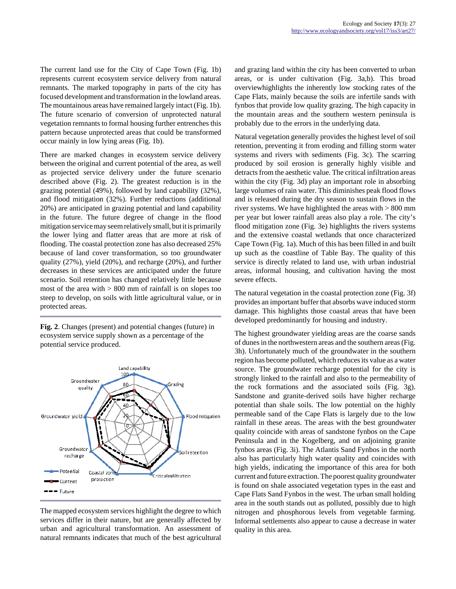The current land use for the City of Cape Town (Fig. 1b) represents current ecosystem service delivery from natural remnants. The marked topography in parts of the city has focused development and transformation in the lowland areas. The mountainous areas have remained largely intact (Fig. 1b). The future scenario of conversion of unprotected natural vegetation remnants to formal housing further entrenches this pattern because unprotected areas that could be transformed occur mainly in low lying areas (Fig. 1b).

There are marked changes in ecosystem service delivery between the original and current potential of the area, as well as projected service delivery under the future scenario described above (Fig. 2). The greatest reduction is in the grazing potential (49%), followed by land capability (32%), and flood mitigation (32%). Further reductions (additional 20%) are anticipated in grazing potential and land capability in the future. The future degree of change in the flood mitigation service may seem relatively small, but it is primarily the lower lying and flatter areas that are more at risk of flooding. The coastal protection zone has also decreased 25% because of land cover transformation, so too groundwater quality (27%), yield (20%), and recharge (20%), and further decreases in these services are anticipated under the future scenario. Soil retention has changed relatively little because most of the area with  $> 800$  mm of rainfall is on slopes too steep to develop, on soils with little agricultural value, or in protected areas.

**Fig. 2**. Changes (present) and potential changes (future) in ecosystem service supply shown as a percentage of the potential service produced.



The mapped ecosystem services highlight the degree to which services differ in their nature, but are generally affected by urban and agricultural transformation. An assessment of natural remnants indicates that much of the best agricultural

and grazing land within the city has been converted to urban areas, or is under cultivation (Fig. 3a,b). This broad overviewhighlights the inherently low stocking rates of the Cape Flats, mainly because the soils are infertile sands with fynbos that provide low quality grazing. The high capacity in the mountain areas and the southern western peninsula is probably due to the errors in the underlying data.

Natural vegetation generally provides the highest level of soil retention, preventing it from eroding and filling storm water systems and rivers with sediments (Fig. 3c). The scarring produced by soil erosion is generally highly visible and detracts from the aesthetic value. The critical infiltration areas within the city (Fig. 3d) play an important role in absorbing large volumes of rain water. This diminishes peak flood flows and is released during the dry season to sustain flows in the river systems. We have highlighted the areas with  $> 800$  mm per year but lower rainfall areas also play a role. The city's flood mitigation zone (Fig. 3e) highlights the rivers systems and the extensive coastal wetlands that once characterized Cape Town (Fig. 1a). Much of this has been filled in and built up such as the coastline of Table Bay. The quality of this service is directly related to land use, with urban industrial areas, informal housing, and cultivation having the most severe effects.

The natural vegetation in the coastal protection zone (Fig. 3f) provides an important buffer that absorbs wave induced storm damage. This highlights those coastal areas that have been developed predominantly for housing and industry.

The highest groundwater yielding areas are the coarse sands of dunes in the northwestern areas and the southern areas (Fig. 3h). Unfortunately much of the groundwater in the southern region has become polluted, which reduces its value as a water source. The groundwater recharge potential for the city is strongly linked to the rainfall and also to the permeability of the rock formations and the associated soils (Fig. 3g). Sandstone and granite-derived soils have higher recharge potential than shale soils. The low potential on the highly permeable sand of the Cape Flats is largely due to the low rainfall in these areas. The areas with the best groundwater quality coincide with areas of sandstone fynbos on the Cape Peninsula and in the Kogelberg, and on adjoining granite fynbos areas (Fig. 3i). The Atlantis Sand Fynbos in the north also has particularly high water quality and coincides with high yields, indicating the importance of this area for both current and future extraction. The poorest quality groundwater is found on shale associated vegetation types in the east and Cape Flats Sand Fynbos in the west. The urban small holding area in the south stands out as polluted, possibly due to high nitrogen and phosphorous levels from vegetable farming. Informal settlements also appear to cause a decrease in water quality in this area.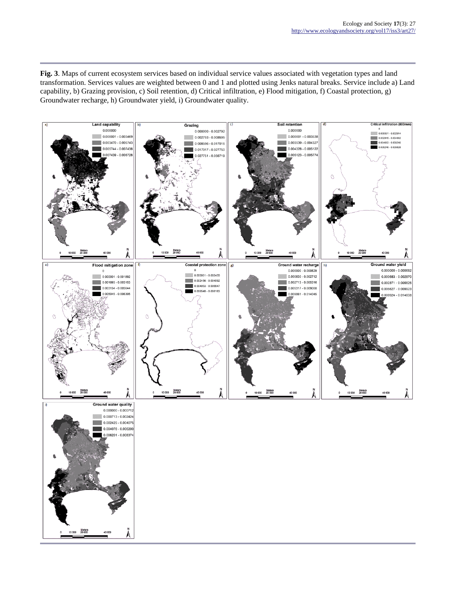**Fig. 3**. Maps of current ecosystem services based on individual service values associated with vegetation types and land transformation. Services values are weighted between 0 and 1 and plotted using Jenks natural breaks. Service include a) Land capability, b) Grazing provision, c) Soil retention, d) Critical infiltration, e) Flood mitigation, f) Coastal protection, g) Groundwater recharge, h) Groundwater yield, i) Groundwater quality.

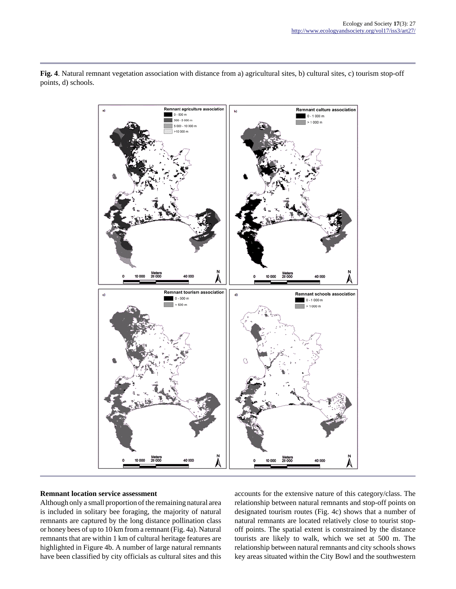**Fig. 4**. Natural remnant vegetation association with distance from a) agricultural sites, b) cultural sites, c) tourism stop-off points, d) schools.



## **Remnant location service assessment**

Although only a small proportion of the remaining natural area is included in solitary bee foraging, the majority of natural remnants are captured by the long distance pollination class or honey bees of up to 10 km from a remnant (Fig. 4a). Natural remnants that are within 1 km of cultural heritage features are highlighted in Figure 4b. A number of large natural remnants have been classified by city officials as cultural sites and this accounts for the extensive nature of this category/class. The relationship between natural remnants and stop-off points on designated tourism routes (Fig. 4c) shows that a number of natural remnants are located relatively close to tourist stopoff points. The spatial extent is constrained by the distance tourists are likely to walk, which we set at 500 m. The relationship between natural remnants and city schools shows key areas situated within the City Bowl and the southwestern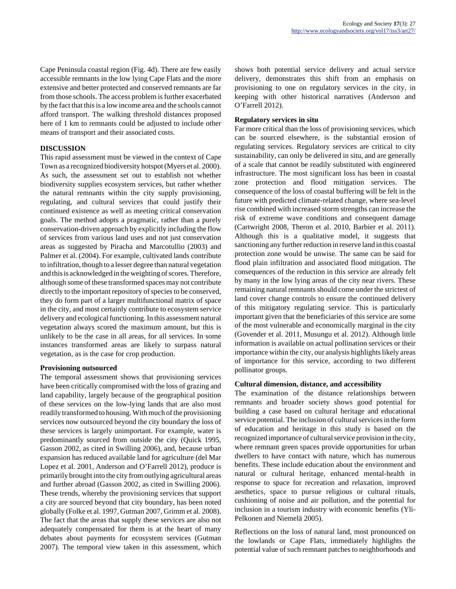Cape Peninsula coastal region (Fig. 4d). There are few easily accessible remnants in the low lying Cape Flats and the more extensive and better protected and conserved remnants are far from those schools. The access problem is further exacerbated by the fact that this is a low income area and the schools cannot afford transport. The walking threshold distances proposed here of 1 km to remnants could be adjusted to include other means of transport and their associated costs.

## **DISCUSSION**

This rapid assessment must be viewed in the context of Cape Town as a recognized biodiversity hotspot (Myers et al. 2000). As such, the assessment set out to establish not whether biodiversity supplies ecosystem services, but rather whether the natural remnants within the city supply provisioning, regulating, and cultural services that could justify their continued existence as well as meeting critical conservation goals. The method adopts a pragmatic, rather than a purely conservation-driven approach by explicitly including the flow of services from various land uses and not just conservation areas as suggested by Piracha and Marcotullio (2003) and Palmer et al. (2004). For example, cultivated lands contribute to infiltration, though to a lesser degree than natural vegetation and this is acknowledged in the weighting of scores. Therefore, although some of these transformed spaces may not contribute directly to the important repository of species to be conserved, they do form part of a larger multifunctional matrix of space in the city, and most certainly contribute to ecosystem service delivery and ecological functioning. In this assessment natural vegetation always scored the maximum amount, but this is unlikely to be the case in all areas, for all services. In some instances transformed areas are likely to surpass natural vegetation, as is the case for crop production.

## **Provisioning outsourced**

The temporal assessment shows that provisioning services have been critically compromised with the loss of grazing and land capability, largely because of the geographical position of these services on the low-lying lands that are also most readily transformed to housing. With much of the provisioning services now outsourced beyond the city boundary the loss of these services is largely unimportant. For example, water is predominantly sourced from outside the city (Quick 1995, Gasson 2002, as cited in Swilling 2006), and, because urban expansion has reduced available land for agriculture (del Mar Lopez et al. 2001, Anderson and O'Farrell 2012), produce is primarily brought into the city from outlying agricultural areas and further abroad (Gasson 2002, as cited in Swilling 2006). These trends, whereby the provisioning services that support a city are sourced beyond that city boundary, has been noted globally (Folke et al. 1997, Gutman 2007, Grimm et al. 2008). The fact that the areas that supply these services are also not adequately compensated for them is at the heart of many debates about payments for ecosystem services (Gutman 2007). The temporal view taken in this assessment, which shows both potential service delivery and actual service delivery, demonstrates this shift from an emphasis on provisioning to one on regulatory services in the city, in keeping with other historical narratives (Anderson and O'Farrell 2012).

## **Regulatory services in situ**

Far more critical than the loss of provisioning services, which can be sourced elsewhere, is the substantial erosion of regulating services. Regulatory services are critical to city sustainability, can only be delivered in situ, and are generally of a scale that cannot be readily substituted with engineered infrastructure. The most significant loss has been in coastal zone protection and flood mitigation services. The consequence of the loss of coastal buffering will be felt in the future with predicted climate-related change, where sea-level rise combined with increased storm strengths can increase the risk of extreme wave conditions and consequent damage (Cartwright 2008, Theron et al. 2010, Barbier et al. 2011). Although this is a qualitative model, it suggests that sanctioning any further reduction in reserve land in this coastal protection zone would be unwise. The same can be said for flood plain infiltration and associated flood mitigation. The consequences of the reduction in this service are already felt by many in the low lying areas of the city near rivers. These remaining natural remnants should come under the strictest of land cover change controls to ensure the continued delivery of this mitigatory regulating service. This is particularly important given that the beneficiaries of this service are some of the most vulnerable and economically marginal in the city (Govender et al. 2011, Musungu et al. 2012). Although little information is available on actual pollination services or their importance within the city, our analysis highlights likely areas of importance for this service, according to two different pollinator groups.

## **Cultural dimension, distance, and accessibility**

The examination of the distance relationships between remnants and broader society shows good potential for building a case based on cultural heritage and educational service potential. The inclusion of cultural services in the form of education and heritage in this study is based on the recognized importance of cultural service provision in the city, where remnant green spaces provide opportunities for urban dwellers to have contact with nature, which has numerous benefits. These include education about the environment and natural or cultural heritage, enhanced mental-health in response to space for recreation and relaxation, improved aesthetics, space to pursue religious or cultural rituals, cushioning of noise and air pollution, and the potential for inclusion in a tourism industry with economic benefits (Yli-Pelkonen and Niemelä 2005).

Reflections on the loss of natural land, most pronounced on the lowlands or Cape Flats, immediately highlights the potential value of such remnant patches to neighborhoods and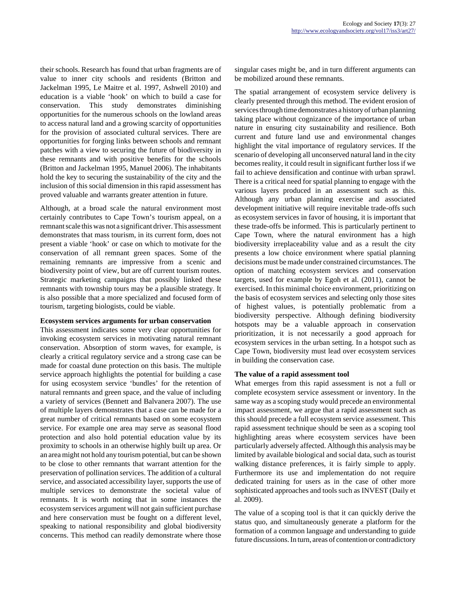their schools. Research has found that urban fragments are of value to inner city schools and residents (Britton and Jackelman 1995, Le Maitre et al. 1997, Ashwell 2010) and education is a viable 'hook' on which to build a case for conservation. This study demonstrates diminishing opportunities for the numerous schools on the lowland areas to access natural land and a growing scarcity of opportunities for the provision of associated cultural services. There are opportunities for forging links between schools and remnant patches with a view to securing the future of biodiversity in these remnants and with positive benefits for the schools (Britton and Jackelman 1995, Manuel 2006). The inhabitants hold the key to securing the sustainability of the city and the inclusion of this social dimension in this rapid assessment has proved valuable and warrants greater attention in future.

Although, at a broad scale the natural environment most certainly contributes to Cape Town's tourism appeal, on a remnant scale this was not a significant driver. This assessment demonstrates that mass tourism, in its current form, does not present a viable 'hook' or case on which to motivate for the conservation of all remnant green spaces. Some of the remaining remnants are impressive from a scenic and biodiversity point of view, but are off current tourism routes. Strategic marketing campaigns that possibly linked these remnants with township tours may be a plausible strategy. It is also possible that a more specialized and focused form of tourism, targeting biologists, could be viable.

## **Ecosystem services arguments for urban conservation**

This assessment indicates some very clear opportunities for invoking ecosystem services in motivating natural remnant conservation. Absorption of storm waves, for example, is clearly a critical regulatory service and a strong case can be made for coastal dune protection on this basis. The multiple service approach highlights the potential for building a case for using ecosystem service 'bundles' for the retention of natural remnants and green space, and the value of including a variety of services (Bennett and Balvanera 2007). The use of multiple layers demonstrates that a case can be made for a great number of critical remnants based on some ecosystem service. For example one area may serve as seasonal flood protection and also hold potential education value by its proximity to schools in an otherwise highly built up area. Or an area might not hold any tourism potential, but can be shown to be close to other remnants that warrant attention for the preservation of pollination services. The addition of a cultural service, and associated accessibility layer, supports the use of multiple services to demonstrate the societal value of remnants. It is worth noting that in some instances the ecosystem services argument will not gain sufficient purchase and here conservation must be fought on a different level, speaking to national responsibility and global biodiversity concerns. This method can readily demonstrate where those

singular cases might be, and in turn different arguments can be mobilized around these remnants.

The spatial arrangement of ecosystem service delivery is clearly presented through this method. The evident erosion of services through time demonstrates a history of urban planning taking place without cognizance of the importance of urban nature in ensuring city sustainability and resilience. Both current and future land use and environmental changes highlight the vital importance of regulatory services. If the scenario of developing all unconserved natural land in the city becomes reality, it could result in significant further loss if we fail to achieve densification and continue with urban sprawl. There is a critical need for spatial planning to engage with the various layers produced in an assessment such as this. Although any urban planning exercise and associated development initiative will require inevitable trade-offs such as ecosystem services in favor of housing, it is important that these trade-offs be informed. This is particularly pertinent to Cape Town, where the natural environment has a high biodiversity irreplaceability value and as a result the city presents a low choice environment where spatial planning decisions must be made under constrained circumstances. The option of matching ecosystem services and conservation targets, used for example by Egoh et al. (2011), cannot be exercised. In this minimal choice environment, prioritizing on the basis of ecosystem services and selecting only those sites of highest values, is potentially problematic from a biodiversity perspective. Although defining biodiversity hotspots may be a valuable approach in conservation prioritization, it is not necessarily a good approach for ecosystem services in the urban setting. In a hotspot such as Cape Town, biodiversity must lead over ecosystem services in building the conservation case.

## **The value of a rapid assessment tool**

What emerges from this rapid assessment is not a full or complete ecosystem service assessment or inventory. In the same way as a scoping study would precede an environmental impact assessment, we argue that a rapid assessment such as this should precede a full ecosystem service assessment. This rapid assessment technique should be seen as a scoping tool highlighting areas where ecosystem services have been particularly adversely affected. Although this analysis may be limited by available biological and social data, such as tourist walking distance preferences, it is fairly simple to apply. Furthermore its use and implementation do not require dedicated training for users as in the case of other more sophisticated approaches and tools such as INVEST (Daily et al. 2009).

The value of a scoping tool is that it can quickly derive the status quo, and simultaneously generate a platform for the formation of a common language and understanding to guide future discussions. In turn, areas of contention or contradictory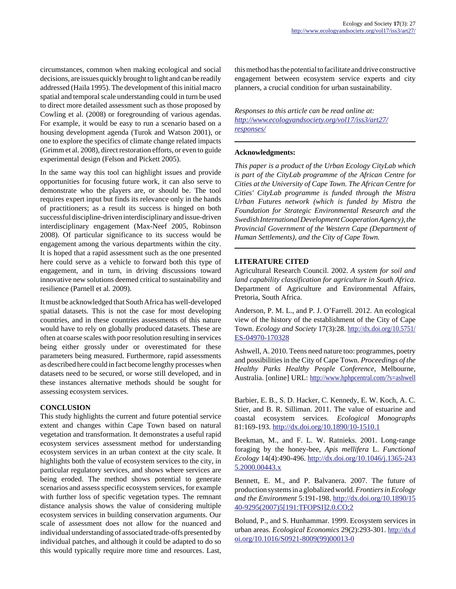circumstances, common when making ecological and social decisions, are issues quickly brought to light and can be readily addressed (Haila 1995). The development of this initial macro spatial and temporal scale understanding could in turn be used to direct more detailed assessment such as those proposed by Cowling et al. (2008) or foregrounding of various agendas. For example, it would be easy to run a scenario based on a housing development agenda (Turok and Watson 2001), or one to explore the specifics of climate change related impacts (Grimm et al. 2008), direct restoration efforts, or even to guide experimental design (Felson and Pickett 2005).

In the same way this tool can highlight issues and provide opportunities for focusing future work, it can also serve to demonstrate who the players are, or should be. The tool requires expert input but finds its relevance only in the hands of practitioners; as a result its success is hinged on both successful discipline-driven interdisciplinary and issue-driven interdisciplinary engagement (Max-Neef 2005, Robinson 2008). Of particular significance to its success would be engagement among the various departments within the city. It is hoped that a rapid assessment such as the one presented here could serve as a vehicle to forward both this type of engagement, and in turn, in driving discussions toward innovative new solutions deemed critical to sustainability and resilience (Parnell et al. 2009).

It must be acknowledged that South Africa has well-developed spatial datasets. This is not the case for most developing countries, and in these countries assessments of this nature would have to rely on globally produced datasets. These are often at coarse scales with poor resolution resulting in services being either grossly under or overestimated for these parameters being measured. Furthermore, rapid assessments as described here could in fact become lengthy processes when datasets need to be secured, or worse still developed, and in these instances alternative methods should be sought for assessing ecosystem services.

# **CONCLUSION**

This study highlights the current and future potential service extent and changes within Cape Town based on natural vegetation and transformation. It demonstrates a useful rapid ecosystem services assessment method for understanding ecosystem services in an urban context at the city scale. It highlights both the value of ecosystem services to the city, in particular regulatory services, and shows where services are being eroded. The method shows potential to generate scenarios and assess specific ecosystem services, for example with further loss of specific vegetation types. The remnant distance analysis shows the value of considering multiple ecosystem services in building conservation arguments. Our scale of assessment does not allow for the nuanced and individual understanding of associated trade-offs presented by individual patches, and although it could be adapted to do so this would typically require more time and resources. Last,

this method has the potential to facilitate and drive constructive engagement between ecosystem service experts and city planners, a crucial condition for urban sustainability.

# *Responses to this article can be read online at: [http://www](http://www.ecologyandsociety.org/vol17/iss3/art27/responses/).ecologyandsociety.org/vol17/iss3/art27/ responses/*

# **Acknowledgments:**

*This paper is a product of the Urban Ecology CityLab which is part of the CityLab programme of the African Centre for Cities at the University of Cape Town. The African Centre for Cities' CityLab programme is funded through the Mistra Urban Futures network (which is funded by Mistra the Foundation for Strategic Environmental Research and the Swedish International Development Cooperation Agency), the Provincial Government of the Western Cape (Department of Human Settlements), and the City of Cape Town.*

## **LITERATURE CITED**

Agricultural Research Council. 2002. *A system for soil and land capability classification for agriculture in South Africa*. Department of Agriculture and Environmental Affairs, Pretoria, South Africa.

Anderson, P. M. L., and P. J. O'Farrell. 2012. An ecological view of the history of the establishment of the City of Cape Town. *Ecology and Society* 17(3):28. [http://dx.doi.org/10.5751/](http://dx.doi.org/10.5751/ES-04970-170328) [ES-04970-170328](http://dx.doi.org/10.5751/ES-04970-170328)

Ashwell, A. 2010. Teens need nature too: programmes, poetry and possibilities in the City of Cape Town. *Proceedings of the Healthy Parks Healthy People Conference*, Melbourne, Australia. [online] URL:<http://www.hphpcentral.com/?s=ashwell>

Barbier, E. B., S. D. Hacker, C. Kennedy, E. W. Koch, A. C. Stier, and B. R. Silliman. 2011. The value of estuarine and coastal ecosystem services. *Ecological Monographs* 81:169-193.<http://dx.doi.org/10.1890/10-1510.1>

Beekman, M., and F. L. W. Ratnieks. 2001. Long-range foraging by the honey-bee, *Apis mellifera* L. *Functional Ecology* 14(4):490-496. [http://dx.doi.org/10.1046/j.1365-243](http://dx.doi.org/10.1046/j.1365-2435.2000.00443.x) [5.2000.00443.x](http://dx.doi.org/10.1046/j.1365-2435.2000.00443.x)

Bennett, E. M., and P. Balvanera. 2007. The future of production systems in a globalized world. *Frontiers in Ecology and the Environment* 5:191-198. [http://dx.doi.org/10.1890/15](http://dx.doi.org/10.1890/1540-9295(2007)5[191:TFOPSI]2.0.CO;2) [40-9295\(2007\)5\[191:TFOPSI\]2.0.CO;2](http://dx.doi.org/10.1890/1540-9295(2007)5[191:TFOPSI]2.0.CO;2)

Bolund, P., and S. Hunhammar. 1999. Ecosystem services in urban areas. *Ecological Economics* 29(2):293-301. [http://dx.d](http://dx.doi.org/10.1016/S0921-8009(99)00013-0) [oi.org/10.1016/S0921-8009\(99\)00013-0](http://dx.doi.org/10.1016/S0921-8009(99)00013-0)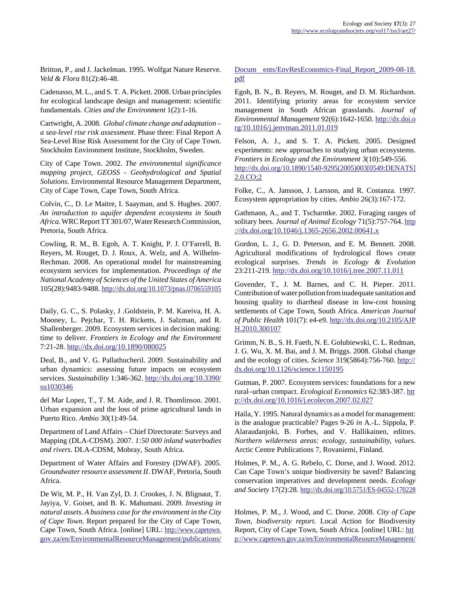Britton, P., and J. Jackelman. 1995. Wolfgat Nature Reserve. *Veld & Flora* 81(2):46-48.

Cadenasso, M. L., and S. T. A. Pickett. 2008. Urban principles for ecological landscape design and management: scientific fundamentals. *Cities and the Environment* 1(2):1-16.

Cartwright, A. 2008. *Global climate change and adaptation – a sea-level rise risk assessment*. Phase three: Final Report A Sea-Level Rise Risk Assessment for the City of Cape Town. Stockholm Environment Institute, Stockholm, Sweden.

City of Cape Town. 2002. *The environmental significance mapping project, GEOSS - Geohydrological and Spatial Solutions*. Environmental Resource Management Department, City of Cape Town, Cape Town, South Africa.

Colvin, C., D. Le Maitre, I. Saayman, and S. Hughes. 2007. *An introduction to aquifer dependent ecosystems in South Africa.* WRC Report TT 301/07, Water Research Commission, Pretoria, South Africa.

Cowling, R. M., B. Egoh, A. T. Knight, P. J. O'Farrell, B. Reyers, M. Rouget, D. J. Roux, A. Welz, and A. Wilhelm-Rechman. 2008. An operational model for mainstreaming ecosystem services for implementation. *Proceedings of the National Academy of Sciences of the United States of America* 105(28):9483-9488. <http://dx.doi.org/10.1073/pnas.0706559105>

Daily, G. C., S. Polasky, J .Goldstein, P. M. Kareiva, H. A. Mooney, L. Pejchar, T. H. Ricketts, J. Salzman, and R. Shallenberger. 2009. Ecosystem services in decision making: time to deliver. *Frontiers in Ecology and the Environment* 7:21-28.<http://dx.doi.org/10.1890/080025>

Deal, B., and V. G. Pallathucheril. 2009. Sustainability and urban dynamics: assessing future impacts on ecosystem services. *Sustainability* 1:346-362. [http://dx.doi.org/10.3390/](http://dx.doi.org/10.3390/su1030346) [su1030346](http://dx.doi.org/10.3390/su1030346)

del Mar Lopez, T., T. M. Aide, and J. R. Thomlinson. 2001. Urban expansion and the loss of prime agricultural lands in Puerto Rico. *Ambio* 30(1):49-54.

Department of Land Affairs – Chief Directorate: Surveys and Mapping (DLA-CDSM). 2007. *1:50 000 inland waterbodies and rivers.* DLA-CDSM, Mobray, South Africa.

Department of Water Affairs and Forestry (DWAF). 2005. *Groundwater resource assessment II*. DWAF, Pretoria, South Africa.

De Wit, M. P., H. Van Zyl, D. J. Crookes, J. N. Blignaut, T. Jayiya, V. Goiset, and B. K. Mahumani. 2009. *Investing in natural assets. A business case for the environment in the City of Cape Town.* Report prepared for the City of Cape Town, Cape Town, South Africa. [online] URL: http://www.capetown. gov.za/en/EnvironmentalResourceManagement/publications/ Docum ents/EnvResEconomics-Final\_Report\_2009-08-18. [pdf](http://www.capetown.gov.za/en/EnvironmentalResourceManagement/publications/Docum ents/EnvResEconomics-Final_Report_2009-08-18.pdf)

Egoh, B. N., B. Reyers, M. Rouget, and D. M. Richardson. 2011. Identifying priority areas for ecosystem service management in South African grasslands. *Journal of Environmental Management* 92(6):1642-1650. [http://dx.doi.o](http://dx.doi.org/10.1016/j.jenvman.2011.01.019) [rg/10.1016/j.jenvman.2011.01.019](http://dx.doi.org/10.1016/j.jenvman.2011.01.019)

Felson, A. J., and S. T. A. Pickett. 2005. Designed experiments: new approaches to studying urban ecosystems. *Frontiers in Ecology and the Environment* 3(10):549-556. [http://dx.doi.org/10.1890/1540-9295\(2005\)003\[0549:DENATS\]](http://dx.doi.org/10.1890/1540-9295(2005)003[0549:DENATS]2.0.CO;2) [2.0.CO;2](http://dx.doi.org/10.1890/1540-9295(2005)003[0549:DENATS]2.0.CO;2)

Folke, C., A. Jansson, J. Larsson, and R. Costanza. 1997. Ecosystem appropriation by cities. *Ambio* 26(3):167-172.

Gathmann, A., and T. Tscharntke. 2002. Foraging ranges of solitary bees. *Journal of Animal Ecology* 71(5):757-764. [http](http://dx.doi.org/10.1046/j.1365-2656.2002.00641.x) ://dx.doi.org/10.1046/j.1365-2656.2002.00641.x

Gordon, L. J., G. D. Peterson, and E. M. Bennett. 2008. Agricultural modifications of hydrological flows create ecological surprises. *Trends in Ecology & Evolution* 23:211-219.<http://dx.doi.org/10.1016/j.tree.2007.11.011>

Govender, T., J. M. Barnes, and C. H. Pieper. 2011. Contribution of water pollution from inadequate sanitation and housing quality to diarrheal disease in low-cost housing settlements of Cape Town, South Africa. *American Journal of Public Health* 101(7): e4-e9. [http://dx.doi.org/10.2105/AJP](http://dx.doi.org/10.2105/AJPH.2010.300107) [H.2010.300107](http://dx.doi.org/10.2105/AJPH.2010.300107)

Grimm, N. B., S. H. Faeth, N. E. Golubiewski, C. L. Redman, J. G. Wu, X. M. Bai, and J. M. Briggs. 2008. Global change and the ecology of cities. *Science* 319(5864):756-760. [http://](http://dx.doi.org/10.1126/science.1150195) [dx.doi.org/10.1126/science.1150195](http://dx.doi.org/10.1126/science.1150195)

Gutman, P. 2007. Ecosystem services: foundations for a new rural–urban compact. *Ecological Economics* 62:383-387. [htt](http://dx.doi.org/10.1016/j.ecolecon.2007.02.027) [p://dx.doi.org/10.1016/j.ecolecon.2007.02.027](http://dx.doi.org/10.1016/j.ecolecon.2007.02.027)

Haila, Y. 1995. Natural dynamics as a model for management: is the analogue practicable? Pages 9-26 *in* A.-L. Sippola, P. Alaraudanjoki, B. Forbes, and V. Hallikainen, editors. *Northern wilderness areas: ecology, sustainability, values*. Arctic Centre Publications 7, Rovaniemi, Finland.

Holmes, P. M., A. G. Rebelo, C. Dorse, and J. Wood. 2012. Can Cape Town's unique biodiversity be saved? Balancing conservation imperatives and development needs. *Ecology and Society* 17(2):28.<http://dx.doi.org/10.5751/ES-04552-170228>

Holmes, P. M., J. Wood, and C. Dorse. 2008. *City of Cape Town, biodiversity report.* Local Action for Biodiversity [Report, City of Cape Town, South Africa. \[online\] URL: htt](http://www.capetown.gov.za/en/EnvironmentalResourceManagement/publications/Docum ents/EnvResEconomics-Final_Report_2009-08-18.pdf) [p://www.capetown.gov.za/en/EnvironmentalResourceManagement/](http://www.capetown.gov.za/en/EnvironmentalResourceManagement/publications/Docum ents/EnvResEconomics-Final_Report_2009-08-18.pdf)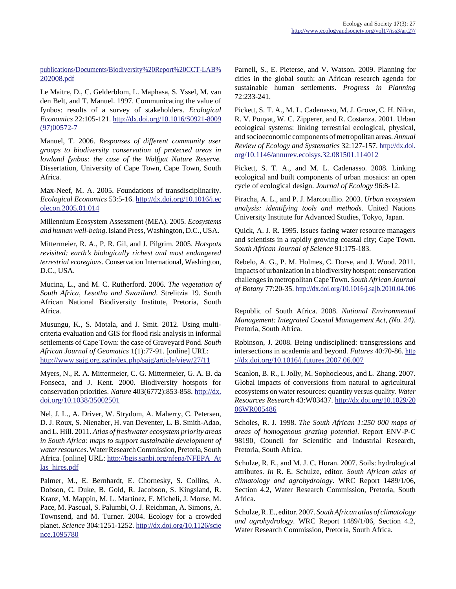publications/Documents/Biodiversity%20Report%20CCT-LAB% [202008.pdf](http://www.capetown.gov.za/en/EnvironmentalResourceManagement/publications/Documents/Biodiversity%20Report%20CCT-LAB%202008.pdf)

Le Maitre, D., C. Gelderblom, L. Maphasa, S. Yssel, M. van den Belt, and T. Manuel. 1997. Communicating the value of fynbos: results of a survey of stakeholders. *Ecological Economics* 22:105-121. [http://dx.doi.org/10.1016/S0921-8009](http://dx.doi.org/10.1016/S0921-8009(97)00572-7) [\(97\)00572-7](http://dx.doi.org/10.1016/S0921-8009(97)00572-7)

Manuel, T. 2006. *Responses of different community user groups to biodiversity conservation of protected areas in lowland fynbos: the case of the Wolfgat Nature Reserve.* Dissertation, University of Cape Town, Cape Town, South Africa.

Max-Neef, M. A. 2005. Foundations of transdisciplinarity. *Ecological Economics* 53:5-16. [http://dx.doi.org/10.1016/j.ec](http://dx.doi.org/10.1016/j.ecolecon.2005.01.014) [olecon.2005.01.014](http://dx.doi.org/10.1016/j.ecolecon.2005.01.014)

Millennium Ecosystem Assessment (MEA). 2005. *Ecosystems and human well-being*. Island Press, Washington, D.C., USA.

Mittermeier, R. A., P. R. Gil, and J. Pilgrim. 2005. *Hotspots revisited: earth's biologically richest and most endangered terrestrial ecoregions*. Conservation International, Washington, D.C., USA.

Mucina, L., and M. C. Rutherford. 2006. *The vegetation of South Africa, Lesotho and Swaziland*. Strelitzia 19. South African National Biodiversity Institute, Pretoria, South Africa.

Musungu, K., S. Motala, and J. Smit. 2012. Using multicriteria evaluation and GIS for flood risk analysis in informal settlements of Cape Town: the case of Graveyard Pond. *South African Journal of Geomatics* 1(1):77-91. [online] URL: <http://www.sajg.org.za/index.php/sajg/article/view/27/11>

Myers, N., R. A. Mittermeier, C. G. Mittermeier, G. A. B. da Fonseca, and J. Kent. 2000. Biodiversity hotspots for conservation priorities. *Nature* 403(6772):853-858. [http://dx.](http://dx.doi.org/10.1038/35002501) [doi.org/10.1038/35002501](http://dx.doi.org/10.1038/35002501)

Nel, J. L., A. Driver, W. Strydom, A. Maherry, C. Petersen, D. J. Roux, S. Nienaber, H. van Deventer, L. B. Smith-Adao, and L. Hill. 2011. *Atlas of freshwater ecosystem priority areas in South Africa: maps to support sustainable development of water resources*. Water Research Commission, Pretoria, South Africa. [online] URL: [http://bgis.sanbi.org/nfepa/NFEPA\\_At](http://bgis.sanbi.org/nfepa/NFEPA_Atlas_hires.pdf) [las\\_hires.pdf](http://bgis.sanbi.org/nfepa/NFEPA_Atlas_hires.pdf)

Palmer, M., E. Bernhardt, E. Chornesky, S. Collins, A. Dobson, C. Duke, B. Gold, R. Jacobson, S. Kingsland, R. Kranz, M. Mappin, M. L. Martinez, F. Micheli, J. Morse, M. Pace, M. Pascual, S. Palumbi, O. J. Reichman, A. Simons, A. Townsend, and M. Turner. 2004. Ecology for a crowded planet. *Science* 304:1251-1252. [http://dx.doi.org/10.1126/scie](http://dx.doi.org/10.1126/science.1095780) [nce.1095780](http://dx.doi.org/10.1126/science.1095780)

Parnell, S., E. Pieterse, and V. Watson. 2009. Planning for cities in the global south: an African research agenda for sustainable human settlements. *Progress in Planning* 72:233-241.

Pickett, S. T. A., M. L. Cadenasso, M. J. Grove, C. H. Nilon, R. V. Pouyat, W. C. Zipperer, and R. Costanza. 2001. Urban ecological systems: linking terrestrial ecological, physical, and socioeconomic components of metropolitan areas. *Annual Review of Ecology and Systematics* 32:127-157. [http://dx.doi.](http://dx.doi.org/10.1146/annurev.ecolsys.32.081501.114012) [org/10.1146/annurev.ecolsys.32.081501.114012](http://dx.doi.org/10.1146/annurev.ecolsys.32.081501.114012)

Pickett, S. T. A., and M. L. Cadenasso. 2008. Linking ecological and built components of urban mosaics: an open cycle of ecological design. *Journal of Ecology* 96:8-12.

Piracha, A. L., and P. J. Marcotullio. 2003. *Urban ecosystem analysis: identifying tools and methods*. United Nations University Institute for Advanced Studies, Tokyo, Japan.

Quick, A. J. R. 1995. Issues facing water resource managers and scientists in a rapidly growing coastal city; Cape Town. *South African Journal of Science* 91:175-183.

Rebelo, A. G., P. M. Holmes, C. Dorse, and J. Wood. 2011. Impacts of urbanization in a biodiversity hotspot: conservation challenges in metropolitan Cape Town. *South African Journal of Botany* 77:20-35.<http://dx.doi.org/10.1016/j.sajb.2010.04.006>

Republic of South Africa. 2008. *National Environmental Management: Integrated Coastal Management Act, (No. 24).* Pretoria, South Africa.

Robinson, J. 2008. Being undisciplined: transgressions and intersections in academia and beyond. *Futures* 40:70-86. [http](http://dx.doi.org/10.1016/j.futures.2007.06.007) [://dx.doi.org/10.1016/j.futures.2007.06.007](http://dx.doi.org/10.1016/j.futures.2007.06.007)

Scanlon, B. R., I. Jolly, M. Sophocleous, and L. Zhang. 2007. Global impacts of conversions from natural to agricultural ecosystems on water resources: quantity versus quality. *Water Resources Research* 43:W03437. [http://dx.doi.org/10.1029/20](http://dx.doi.org/10.1029/2006WR005486) [06WR005486](http://dx.doi.org/10.1029/2006WR005486)

Scholes, R. J. 1998. *The South African 1:250 000 maps of areas of homogenous grazing potential*. Report ENV-P-C 98190, Council for Scientific and Industrial Research, Pretoria, South Africa.

Schulze, R. E., and M. J. C. Horan. 2007. Soils: hydrological attributes. *In* R. E. Schulze, editor. *South African atlas of climatology and agrohydrology*. WRC Report 1489/1/06, Section 4.2, Water Research Commission, Pretoria, South Africa.

Schulze, R. E., editor. 2007. *South African atlas of climatology and agrohydrology*. WRC Report 1489/1/06, Section 4.2, [Water Research Commission, Pretoria, South Africa.](http://www.capetown.gov.za/en/EnvironmentalResourceManagement/publications/Documents/Biodiversity%20Report%20CCT-LAB%202008.pdf)